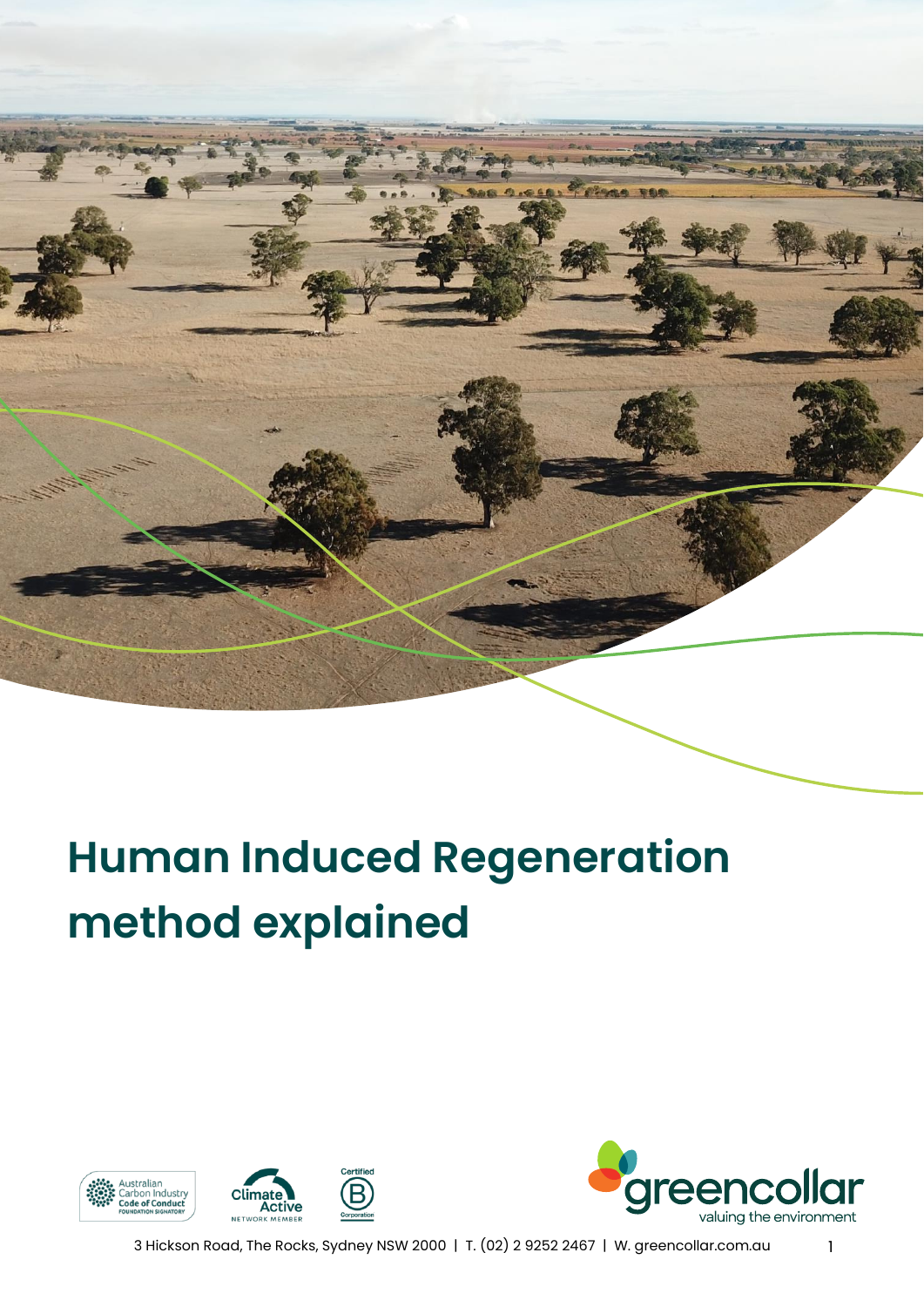# **Human Induced Regeneration method explained**





3 Hickson Road, The Rocks, Sydney NSW 2000 | T. (02) 2 9252 2467 | W. greencollar.com.au 1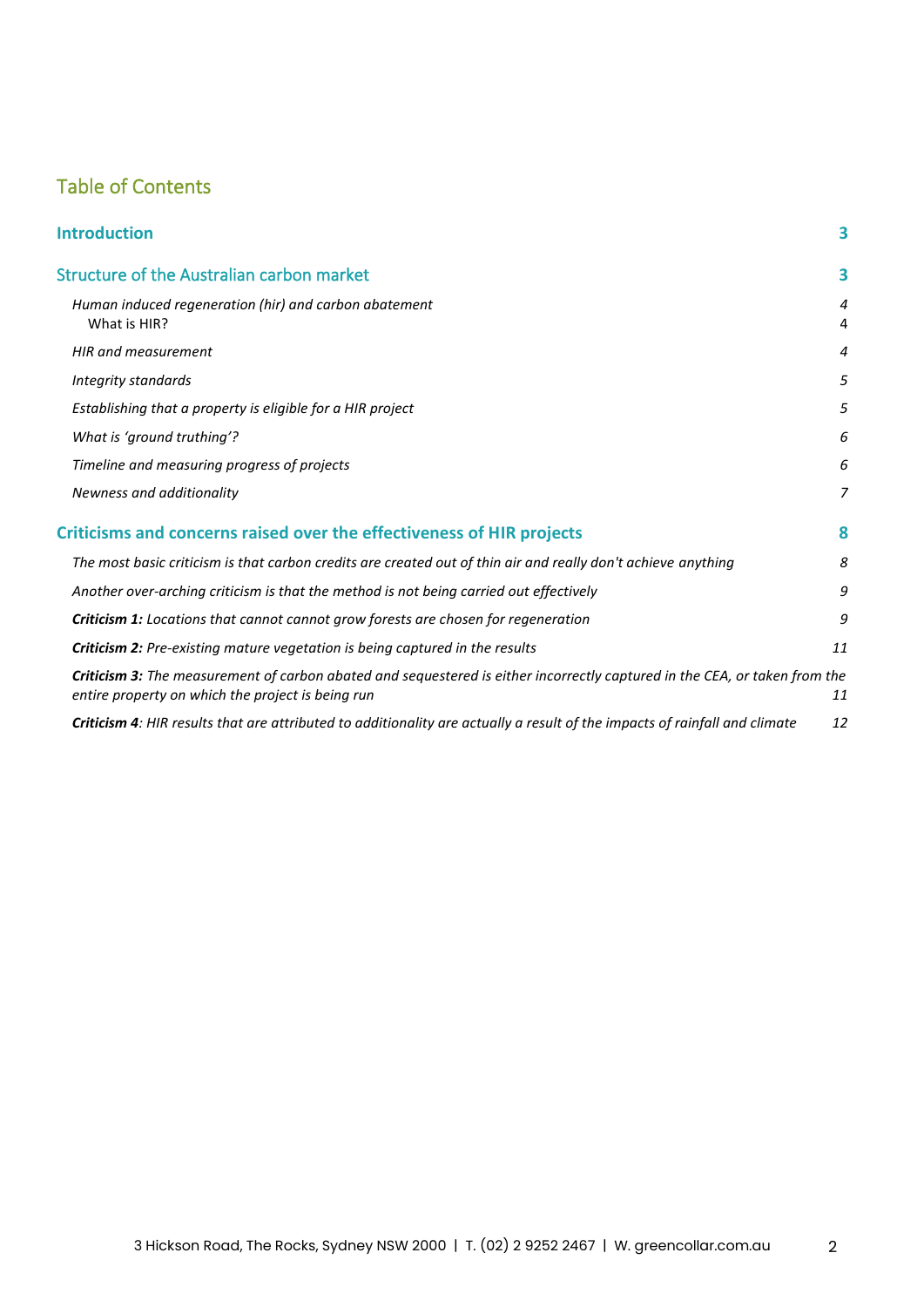#### Table of Contents

| <b>Introduction</b>                                                                                                                                                             | 3      |
|---------------------------------------------------------------------------------------------------------------------------------------------------------------------------------|--------|
| <b>Structure of the Australian carbon market</b>                                                                                                                                | 3      |
| Human induced regeneration (hir) and carbon abatement<br>What is HIR?                                                                                                           | 4<br>4 |
| HIR and measurement                                                                                                                                                             | 4      |
| Integrity standards                                                                                                                                                             | 5      |
| Establishing that a property is eligible for a HIR project                                                                                                                      | 5      |
| What is 'ground truthing'?                                                                                                                                                      | 6      |
| Timeline and measuring progress of projects                                                                                                                                     | 6      |
| Newness and additionality                                                                                                                                                       | 7      |
| <b>Criticisms and concerns raised over the effectiveness of HIR projects</b>                                                                                                    | 8      |
| The most basic criticism is that carbon credits are created out of thin air and really don't achieve anything                                                                   | 8      |
| Another over-arching criticism is that the method is not being carried out effectively                                                                                          | 9      |
| <b>Criticism 1:</b> Locations that cannot cannot grow forests are chosen for regeneration                                                                                       | 9      |
| <b>Criticism 2:</b> Pre-existing mature vegetation is being captured in the results                                                                                             | 11     |
| Criticism 3: The measurement of carbon abated and sequestered is either incorrectly captured in the CEA, or taken from the<br>entire property on which the project is being run | 11     |
| Criticism 4: HIR results that are attributed to additionality are actually a result of the impacts of rainfall and climate                                                      | 12     |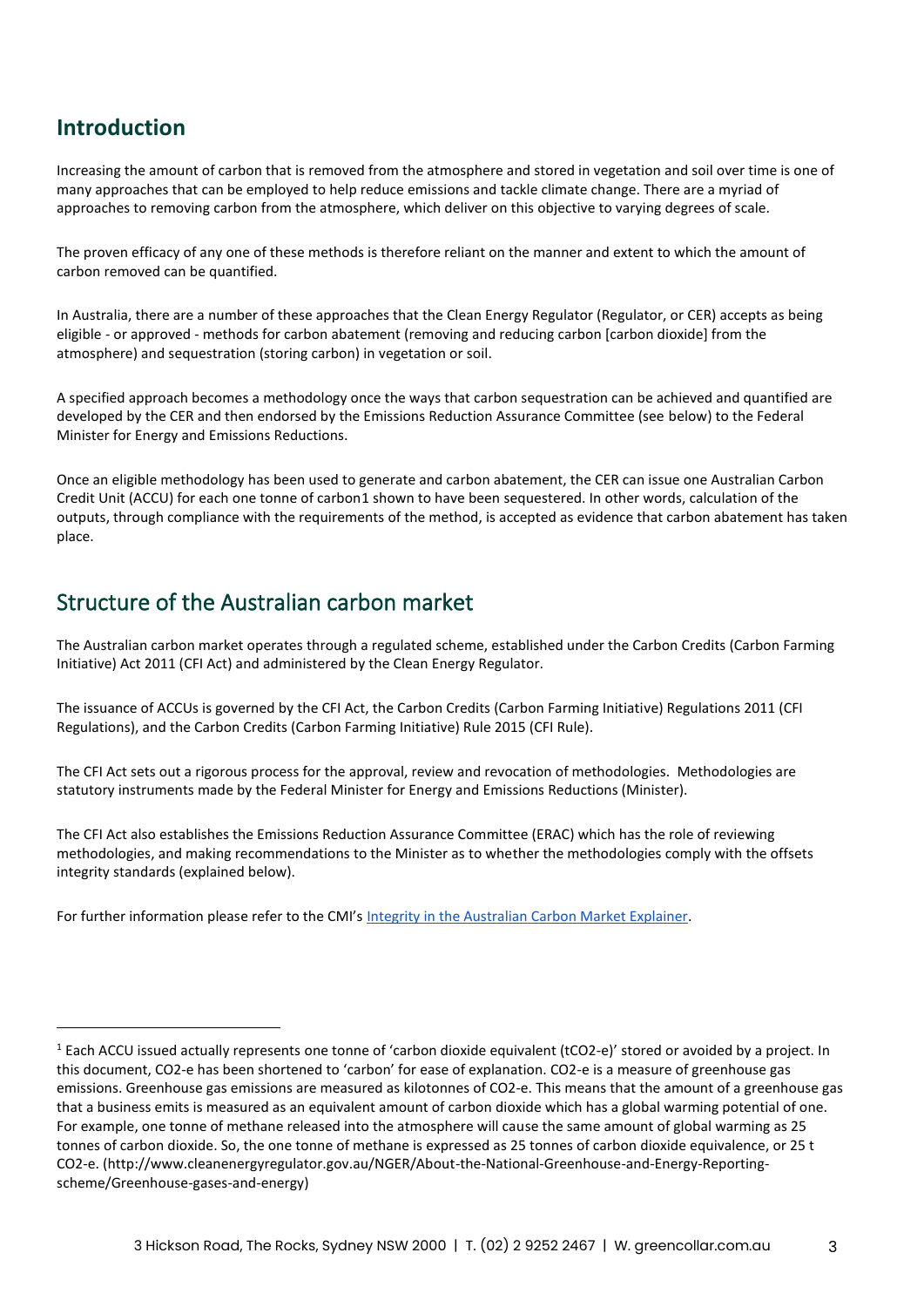#### <span id="page-2-0"></span>**Introduction**

Increasing the amount of carbon that is removed from the atmosphere and stored in vegetation and soil over time is one of many approaches that can be employed to help reduce emissions and tackle climate change. There are a myriad of approaches to removing carbon from the atmosphere, which deliver on this objective to varying degrees of scale.

The proven efficacy of any one of these methods is therefore reliant on the manner and extent to which the amount of carbon removed can be quantified.

In Australia, there are a number of these approaches that the Clean Energy Regulator (Regulator, or CER) accepts as being eligible - or approved - methods for carbon abatement (removing and reducing carbon [carbon dioxide] from the atmosphere) and sequestration (storing carbon) in vegetation or soil.

A specified approach becomes a methodology once the ways that carbon sequestration can be achieved and quantified are developed by the CER and then endorsed by the Emissions Reduction Assurance Committee (see below) to the Federal Minister for Energy and Emissions Reductions.

Once an eligible methodology has been used to generate and carbon abatement, the CER can issue one Australian Carbon Credit Unit (ACCU) for each one tonne of carbon1 shown to have been sequestered. In other words, calculation of the outputs, through compliance with the requirements of the method, is accepted as evidence that carbon abatement has taken place.

#### <span id="page-2-1"></span>Structure of the Australian carbon market

The Australian carbon market operates through a regulated scheme, established under the Carbon Credits (Carbon Farming Initiative) Act 2011 (CFI Act) and administered by the Clean Energy Regulator.

The issuance of ACCUs is governed by the CFI Act, the Carbon Credits (Carbon Farming Initiative) Regulations 2011 (CFI Regulations), and the Carbon Credits (Carbon Farming Initiative) Rule 2015 (CFI Rule).

The CFI Act sets out a rigorous process for the approval, review and revocation of methodologies. Methodologies are statutory instruments made by the Federal Minister for Energy and Emissions Reductions (Minister).

The CFI Act also establishes the Emissions Reduction Assurance Committee (ERAC) which has the role of reviewing methodologies, and making recommendations to the Minister as to whether the methodologies comply with the offsets integrity standards (explained below).

For further information please refer to the CMI's [Integrity in the Australian Carbon Market Explainer.](https://carbonmarketinstitute.org/app/uploads/2022/04/Explainer-Integrity-in-Australias-Carbon-Market.pdf)

 $1$  Each ACCU issued actually represents one tonne of 'carbon dioxide equivalent (tCO2-e)' stored or avoided by a project. In this document, CO2-e has been shortened to 'carbon' for ease of explanation. CO2-e is a measure of greenhouse gas emissions. Greenhouse gas emissions are measured as kilotonnes of CO2-e. This means that the amount of a greenhouse gas that a business emits is measured as an equivalent amount of carbon dioxide which has a global warming potential of one. For example, one tonne of methane released into the atmosphere will cause the same amount of global warming as 25 tonnes of carbon dioxide. So, the one tonne of methane is expressed as 25 tonnes of carbon dioxide equivalence, or 25 t CO2-e. (http://www.cleanenergyregulator.gov.au/NGER/About-the-National-Greenhouse-and-Energy-Reportingscheme/Greenhouse-gases-and-energy)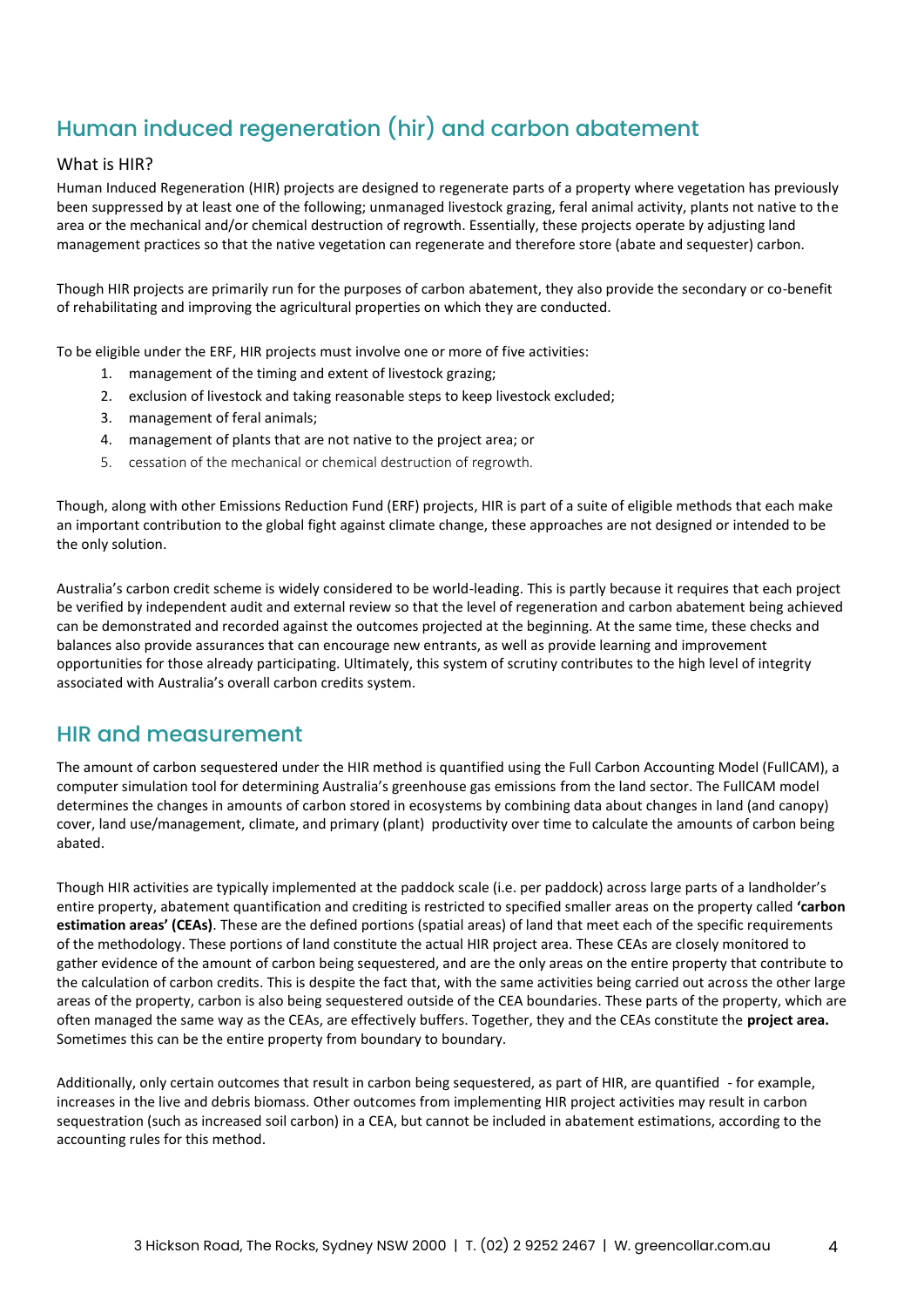## <span id="page-3-0"></span>Human induced regeneration (hir) and carbon abatement

#### <span id="page-3-1"></span>What is HIR?

Human Induced Regeneration (HIR) projects are designed to regenerate parts of a property where vegetation has previously been suppressed by at least one of the following; unmanaged livestock grazing, feral animal activity, plants not native to the area or the mechanical and/or chemical destruction of regrowth. Essentially, these projects operate by adjusting land management practices so that the native vegetation can regenerate and therefore store (abate and sequester) carbon.

Though HIR projects are primarily run for the purposes of carbon abatement, they also provide the secondary or co-benefit of rehabilitating and improving the agricultural properties on which they are conducted.

To be eligible under the ERF, HIR projects must involve one or more of five activities:

- 1. management of the timing and extent of livestock grazing;
- 2. exclusion of livestock and taking reasonable steps to keep livestock excluded;
- 3. management of feral animals;
- 4. management of plants that are not native to the project area; or
- 5. cessation of the mechanical or chemical destruction of regrowth.

Though, along with other Emissions Reduction Fund (ERF) projects, HIR is part of a suite of eligible methods that each make an important contribution to the global fight against climate change, these approaches are not designed or intended to be the only solution.

Australia's carbon credit scheme is widely considered to be world-leading. This is partly because it requires that each project be verified by independent audit and external review so that the level of regeneration and carbon abatement being achieved can be demonstrated and recorded against the outcomes projected at the beginning. At the same time, these checks and balances also provide assurances that can encourage new entrants, as well as provide learning and improvement opportunities for those already participating. Ultimately, this system of scrutiny contributes to the high level of integrity associated with Australia's overall carbon credits system.

#### <span id="page-3-2"></span>HIR and measurement

The amount of carbon sequestered under the HIR method is quantified using the Full Carbon Accounting Model (FullCAM), a computer simulation tool for determining Australia's greenhouse gas emissions from the land sector. The FullCAM model determines the changes in amounts of carbon stored in ecosystems by combining data about changes in land (and canopy) cover, land use/management, climate, and primary (plant) productivity over time to calculate the amounts of carbon being abated.

Though HIR activities are typically implemented at the paddock scale (i.e. per paddock) across large parts of a landholder's entire property, abatement quantification and crediting is restricted to specified smaller areas on the property called **'carbon estimation areas' (CEAs)**. These are the defined portions (spatial areas) of land that meet each of the specific requirements of the methodology. These portions of land constitute the actual HIR project area. These CEAs are closely monitored to gather evidence of the amount of carbon being sequestered, and are the only areas on the entire property that contribute to the calculation of carbon credits. This is despite the fact that, with the same activities being carried out across the other large areas of the property, carbon is also being sequestered outside of the CEA boundaries. These parts of the property, which are often managed the same way as the CEAs, are effectively buffers. Together, they and the CEAs constitute the **project area.** Sometimes this can be the entire property from boundary to boundary.

Additionally, only certain outcomes that result in carbon being sequestered, as part of HIR, are quantified - for example, increases in the live and debris biomass. Other outcomes from implementing HIR project activities may result in carbon sequestration (such as increased soil carbon) in a CEA, but cannot be included in abatement estimations, according to the accounting rules for this method.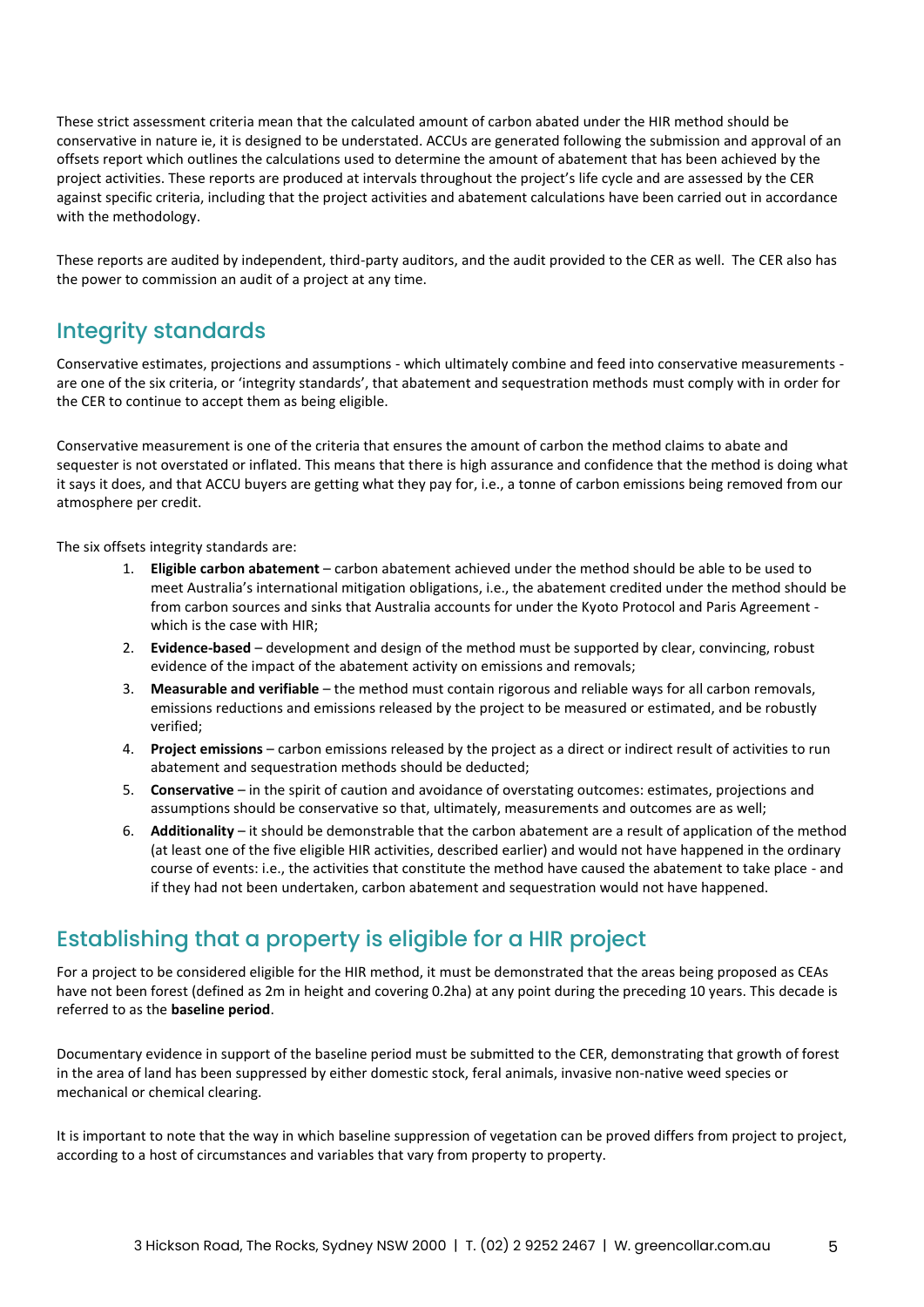These strict assessment criteria mean that the calculated amount of carbon abated under the HIR method should be conservative in nature ie, it is designed to be understated. ACCUs are generated following the submission and approval of an offsets report which outlines the calculations used to determine the amount of abatement that has been achieved by the project activities. These reports are produced at intervals throughout the project's life cycle and are assessed by the CER against specific criteria, including that the project activities and abatement calculations have been carried out in accordance with the methodology.

These reports are audited by independent, third-party auditors, and the audit provided to the CER as well. The CER also has the power to commission an audit of a project at any time.

#### <span id="page-4-0"></span>Integrity standards

Conservative estimates, projections and assumptions - which ultimately combine and feed into conservative measurements are one of the six criteria, or 'integrity standards', that abatement and sequestration methods must comply with in order for the CER to continue to accept them as being eligible.

Conservative measurement is one of the criteria that ensures the amount of carbon the method claims to abate and sequester is not overstated or inflated. This means that there is high assurance and confidence that the method is doing what it says it does, and that ACCU buyers are getting what they pay for, i.e., a tonne of carbon emissions being removed from our atmosphere per credit.

The six offsets integrity standards are:

- 1. **Eligible carbon abatement** carbon abatement achieved under the method should be able to be used to meet Australia's international mitigation obligations, i.e., the abatement credited under the method should be from carbon sources and sinks that Australia accounts for under the Kyoto Protocol and Paris Agreement which is the case with HIR;
- 2. **Evidence-based** development and design of the method must be supported by clear, convincing, robust evidence of the impact of the abatement activity on emissions and removals;
- 3. **Measurable and verifiable** the method must contain rigorous and reliable ways for all carbon removals, emissions reductions and emissions released by the project to be measured or estimated, and be robustly verified;
- 4. **Project emissions** carbon emissions released by the project as a direct or indirect result of activities to run abatement and sequestration methods should be deducted;
- 5. **Conservative** in the spirit of caution and avoidance of overstating outcomes: estimates, projections and assumptions should be conservative so that, ultimately, measurements and outcomes are as well;
- 6. **Additionality** it should be demonstrable that the carbon abatement are a result of application of the method (at least one of the five eligible HIR activities, described earlier) and would not have happened in the ordinary course of events: i.e., the activities that constitute the method have caused the abatement to take place - and if they had not been undertaken, carbon abatement and sequestration would not have happened.

#### <span id="page-4-1"></span>Establishing that a property is eligible for a HIR project

For a project to be considered eligible for the HIR method, it must be demonstrated that the areas being proposed as CEAs have not been forest (defined as 2m in height and covering 0.2ha) at any point during the preceding 10 years. This decade is referred to as the **baseline period**.

Documentary evidence in support of the baseline period must be submitted to the CER, demonstrating that growth of forest in the area of land has been suppressed by either domestic stock, feral animals, invasive non-native weed species or mechanical or chemical clearing.

It is important to note that the way in which baseline suppression of vegetation can be proved differs from project to project, according to a host of circumstances and variables that vary from property to property.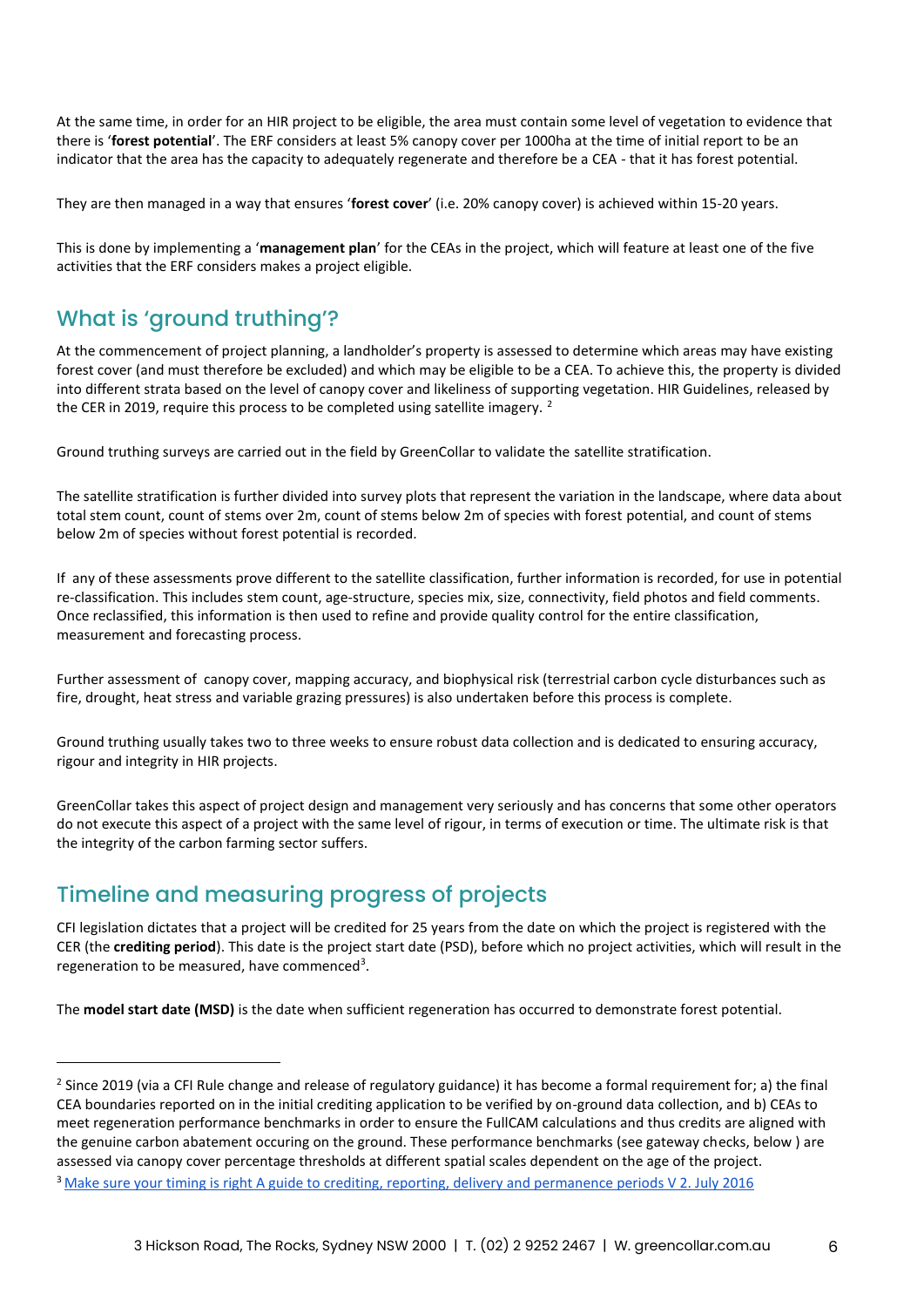At the same time, in order for an HIR project to be eligible, the area must contain some level of vegetation to evidence that there is '**forest potential**'. The ERF considers at least 5% canopy cover per 1000ha at the time of initial report to be an indicator that the area has the capacity to adequately regenerate and therefore be a CEA - that it has forest potential.

They are then managed in a way that ensures '**forest cover**' (i.e. 20% canopy cover) is achieved within 15-20 years.

This is done by implementing a '**management plan**' for the CEAs in the project, which will feature at least one of the five activities that the ERF considers makes a project eligible.

#### <span id="page-5-0"></span>What is 'ground truthing'?

At the commencement of project planning, a landholder's property is assessed to determine which areas may have existing forest cover (and must therefore be excluded) and which may be eligible to be a CEA. To achieve this, the property is divided into different strata based on the level of canopy cover and likeliness of supporting vegetation. HIR Guidelines, released by the CER in 2019, require this process to be completed using satellite imagery.<sup>2</sup>

Ground truthing surveys are carried out in the field by GreenCollar to validate the satellite stratification.

The satellite stratification is further divided into survey plots that represent the variation in the landscape, where data about total stem count, count of stems over 2m, count of stems below 2m of species with forest potential, and count of stems below 2m of species without forest potential is recorded.

If any of these assessments prove different to the satellite classification, further information is recorded, for use in potential re-classification. This includes stem count, age-structure, species mix, size, connectivity, field photos and field comments. Once reclassified, this information is then used to refine and provide quality control for the entire classification, measurement and forecasting process.

Further assessment of canopy cover, mapping accuracy, and biophysical risk (terrestrial carbon cycle disturbances such as fire, drought, heat stress and variable grazing pressures) is also undertaken before this process is complete.

Ground truthing usually takes two to three weeks to ensure robust data collection and is dedicated to ensuring accuracy, rigour and integrity in HIR projects.

GreenCollar takes this aspect of project design and management very seriously and has concerns that some other operators do not execute this aspect of a project with the same level of rigour, in terms of execution or time. The ultimate risk is that the integrity of the carbon farming sector suffers.

#### <span id="page-5-1"></span>Timeline and measuring progress of projects

CFI legislation dictates that a project will be credited for 25 years from the date on which the project is registered with the CER (the **crediting period**). This date is the project start date (PSD), before which no project activities, which will result in the regeneration to be measured, have commenced<sup>3</sup>.

The **model start date (MSD)** is the date when sufficient regeneration has occurred to demonstrate forest potential.

<sup>&</sup>lt;sup>2</sup> Since 2019 (via a CFI Rule change and release of regulatory guidance) it has become a formal requirement for; a) the final CEA boundaries reported on in the initial crediting application to be verified by on-ground data collection, and b) CEAs to meet regeneration performance benchmarks in order to ensure the FullCAM calculations and thus credits are aligned with the genuine carbon abatement occuring on the ground. These performance benchmarks (see gateway checks, below ) are assessed via canopy cover percentage thresholds at different spatial scales dependent on the age of the project.

<sup>3</sup> [Make sure your timing is right A guide to crediting, reporting, delivery and permanence periods V 2. July 2016](http://www.cleanenergyregulator.gov.au/DocumentAssets/Documents/Make%20sure%20your%20timing%20is%20right%20information%20sheet.pdf)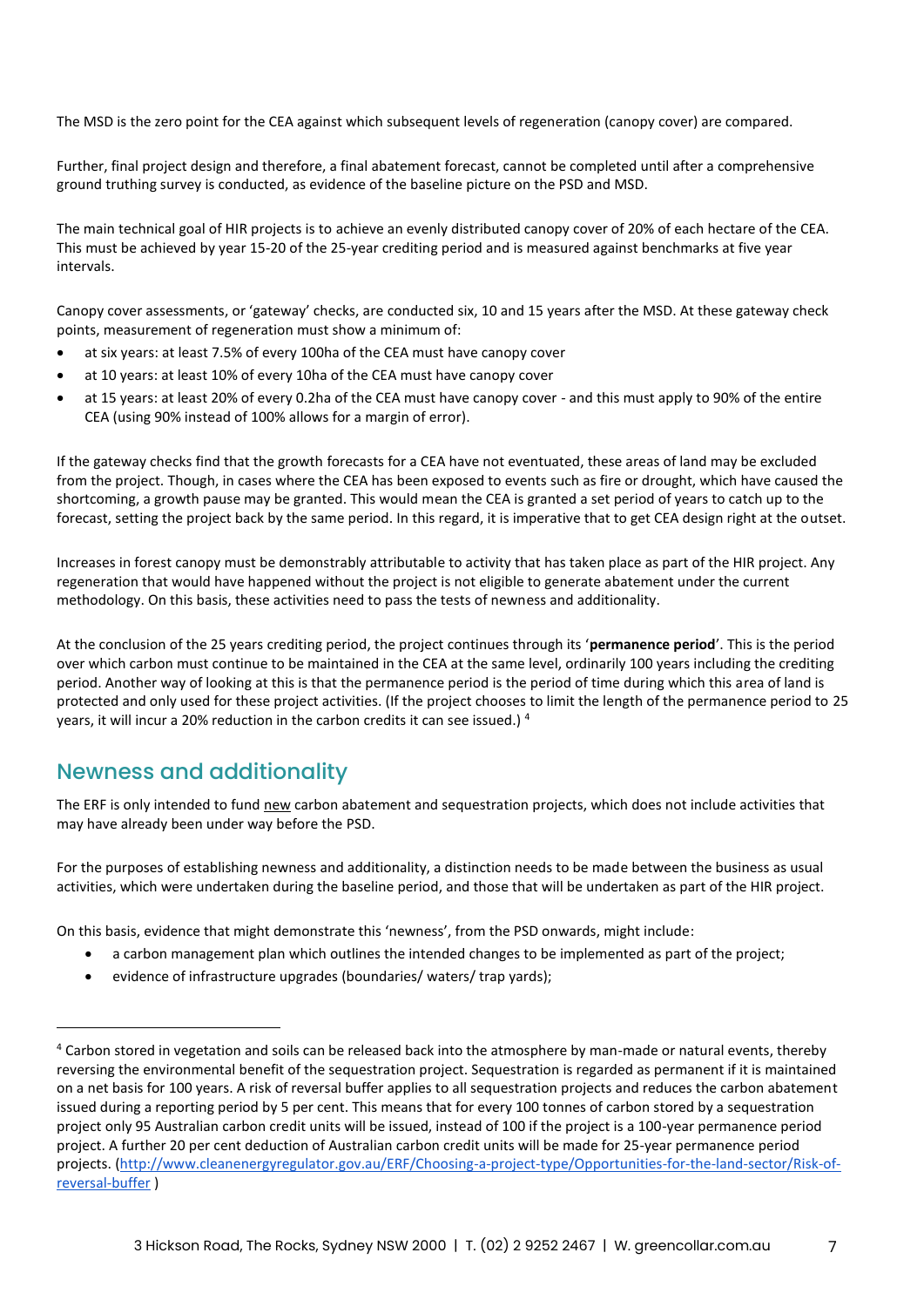The MSD is the zero point for the CEA against which subsequent levels of regeneration (canopy cover) are compared.

Further, final project design and therefore, a final abatement forecast, cannot be completed until after a comprehensive ground truthing survey is conducted, as evidence of the baseline picture on the PSD and MSD.

The main technical goal of HIR projects is to achieve an evenly distributed canopy cover of 20% of each hectare of the CEA. This must be achieved by year 15-20 of the 25-year crediting period and is measured against benchmarks at five year intervals.

Canopy cover assessments, or 'gateway' checks, are conducted six, 10 and 15 years after the MSD. At these gateway check points, measurement of regeneration must show a minimum of:

- at six years: at least 7.5% of every 100ha of the CEA must have canopy cover
- at 10 years: at least 10% of every 10ha of the CEA must have canopy cover
- at 15 years: at least 20% of every 0.2ha of the CEA must have canopy cover and this must apply to 90% of the entire CEA (using 90% instead of 100% allows for a margin of error).

If the gateway checks find that the growth forecasts for a CEA have not eventuated, these areas of land may be excluded from the project. Though, in cases where the CEA has been exposed to events such as fire or drought, which have caused the shortcoming, a growth pause may be granted. This would mean the CEA is granted a set period of years to catch up to the forecast, setting the project back by the same period. In this regard, it is imperative that to get CEA design right at the outset.

Increases in forest canopy must be demonstrably attributable to activity that has taken place as part of the HIR project. Any regeneration that would have happened without the project is not eligible to generate abatement under the current methodology. On this basis, these activities need to pass the tests of newness and additionality.

At the conclusion of the 25 years crediting period, the project continues through its '**permanence period**'. This is the period over which carbon must continue to be maintained in the CEA at the same level, ordinarily 100 years including the crediting period. Another way of looking at this is that the permanence period is the period of time during which this area of land is protected and only used for these project activities. (If the project chooses to limit the length of the permanence period to 25 years, it will incur a 20% reduction in the carbon credits it can see issued.) <sup>4</sup>

#### <span id="page-6-0"></span>Newness and additionality

The ERF is only intended to fund new carbon abatement and sequestration projects, which does not include activities that may have already been under way before the PSD.

For the purposes of establishing newness and additionality, a distinction needs to be made between the business as usual activities, which were undertaken during the baseline period, and those that will be undertaken as part of the HIR project.

On this basis, evidence that might demonstrate this 'newness', from the PSD onwards, might include:

- a carbon management plan which outlines the intended changes to be implemented as part of the project;
- evidence of infrastructure upgrades (boundaries/ waters/ trap yards);

<sup>&</sup>lt;sup>4</sup> Carbon stored in vegetation and soils can be released back into the atmosphere by man-made or natural events, thereby reversing the environmental benefit of the sequestration project. Sequestration is regarded as permanent if it is maintained on a net basis for 100 years. A risk of reversal buffer applies to all sequestration projects and reduces the carbon abatement issued during a reporting period by 5 per cent. This means that for every 100 tonnes of carbon stored by a sequestration project only 95 Australian carbon credit units will be issued, instead of 100 if the project is a 100-year permanence period project. A further 20 per cent deduction of Australian carbon credit units will be made for 25-year permanence period projects. [\(http://www.cleanenergyregulator.gov.au/ERF/Choosing-a-project-type/Opportunities-for-the-land-sector/Risk-of](http://www.cleanenergyregulator.gov.au/ERF/Choosing-a-project-type/Opportunities-for-the-land-sector/Risk-of-reversal-buffer)[reversal-buffer](http://www.cleanenergyregulator.gov.au/ERF/Choosing-a-project-type/Opportunities-for-the-land-sector/Risk-of-reversal-buffer) )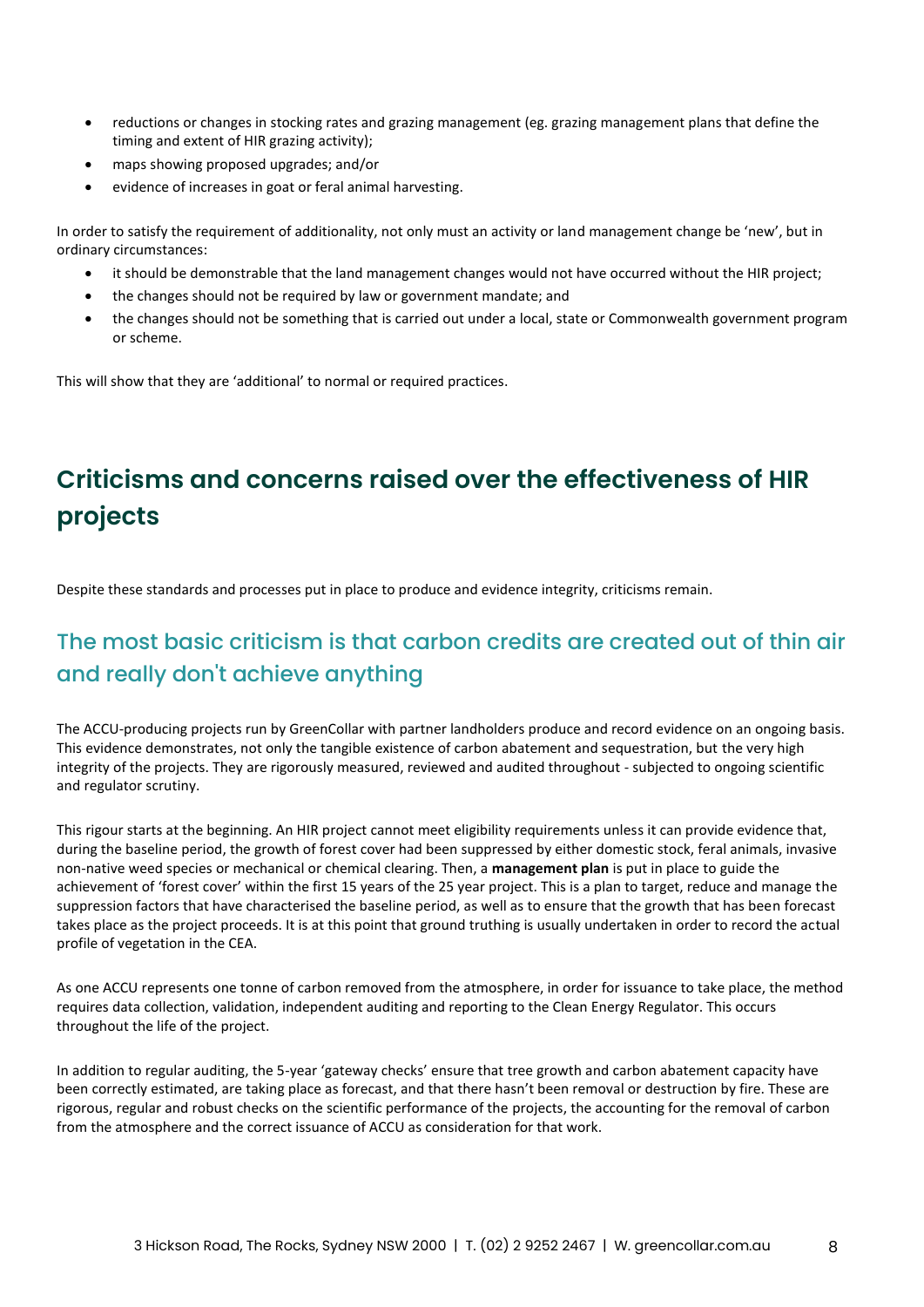- reductions or changes in stocking rates and grazing management (eg. grazing management plans that define the timing and extent of HIR grazing activity);
- maps showing proposed upgrades; and/or
- evidence of increases in goat or feral animal harvesting.

In order to satisfy the requirement of additionality, not only must an activity or land management change be 'new', but in ordinary circumstances:

- it should be demonstrable that the land management changes would not have occurred without the HIR project;
- the changes should not be required by law or government mandate; and
- the changes should not be something that is carried out under a local, state or Commonwealth government program or scheme.

This will show that they are 'additional' to normal or required practices.

# <span id="page-7-0"></span>**Criticisms and concerns raised over the effectiveness of HIR projects**

Despite these standards and processes put in place to produce and evidence integrity, criticisms remain.

#### <span id="page-7-1"></span>The most basic criticism is that carbon credits are created out of thin air and really don't achieve anything

The ACCU-producing projects run by GreenCollar with partner landholders produce and record evidence on an ongoing basis. This evidence demonstrates, not only the tangible existence of carbon abatement and sequestration, but the very high integrity of the projects. They are rigorously measured, reviewed and audited throughout - subjected to ongoing scientific and regulator scrutiny.

This rigour starts at the beginning. An HIR project cannot meet eligibility requirements unless it can provide evidence that, during the baseline period, the growth of forest cover had been suppressed by either domestic stock, feral animals, invasive non-native weed species or mechanical or chemical clearing. Then, a **management plan** is put in place to guide the achievement of 'forest cover' within the first 15 years of the 25 year project. This is a plan to target, reduce and manage the suppression factors that have characterised the baseline period, as well as to ensure that the growth that has been forecast takes place as the project proceeds. It is at this point that ground truthing is usually undertaken in order to record the actual profile of vegetation in the CEA.

As one ACCU represents one tonne of carbon removed from the atmosphere, in order for issuance to take place, the method requires data collection, validation, independent auditing and reporting to the Clean Energy Regulator. This occurs throughout the life of the project.

In addition to regular auditing, the 5-year 'gateway checks' ensure that tree growth and carbon abatement capacity have been correctly estimated, are taking place as forecast, and that there hasn't been removal or destruction by fire. These are rigorous, regular and robust checks on the scientific performance of the projects, the accounting for the removal of carbon from the atmosphere and the correct issuance of ACCU as consideration for that work.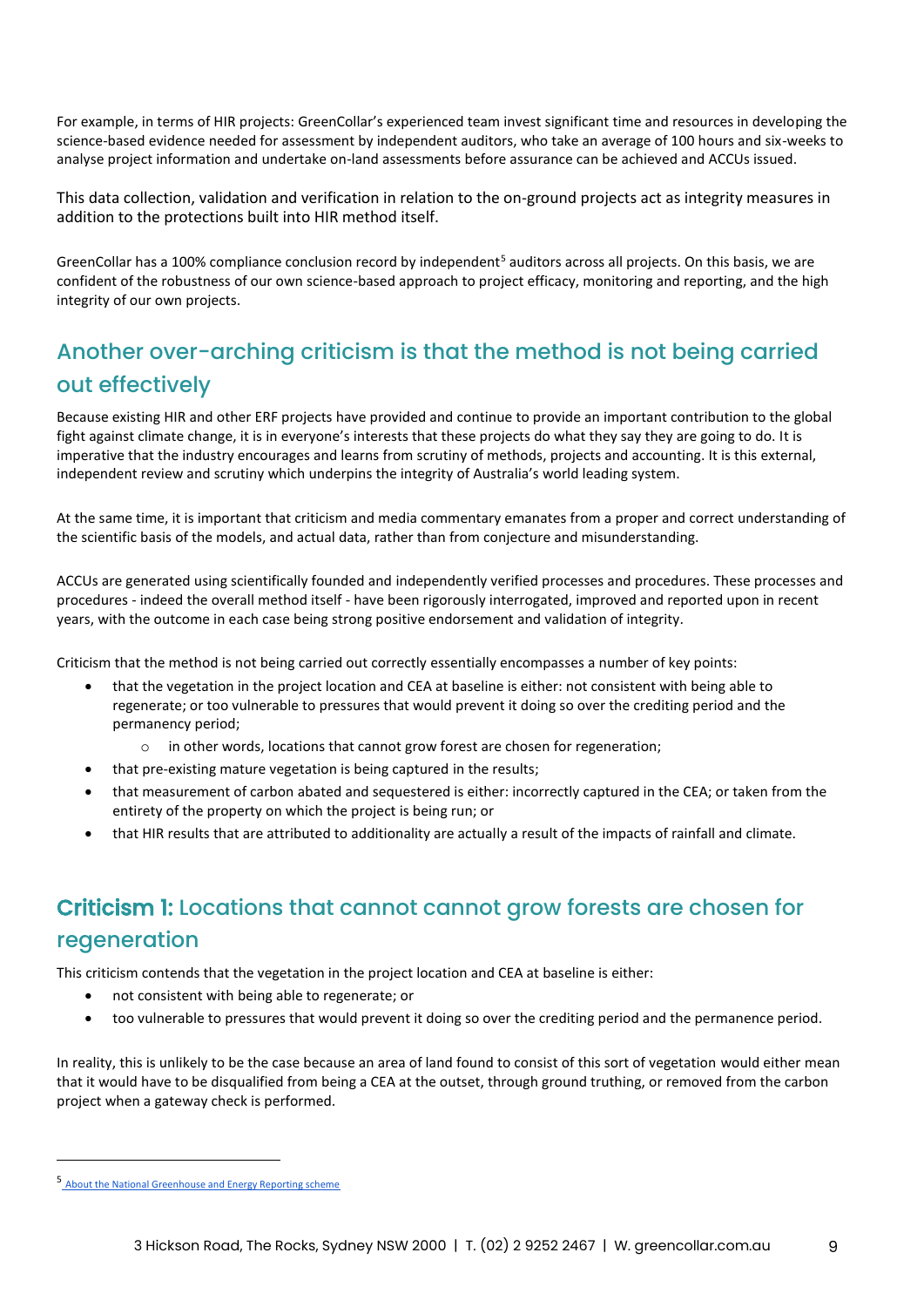For example, in terms of HIR projects: GreenCollar's experienced team invest significant time and resources in developing the science-based evidence needed for assessment by independent auditors, who take an average of 100 hours and six-weeks to analyse project information and undertake on-land assessments before assurance can be achieved and ACCUs issued.

This data collection, validation and verification in relation to the on-ground projects act as integrity measures in addition to the protections built into HIR method itself.

GreenCollar has a 100% compliance conclusion record by independent<sup>5</sup> auditors across all projects. On this basis, we are confident of the robustness of our own science-based approach to project efficacy, monitoring and reporting, and the high integrity of our own projects.

#### <span id="page-8-0"></span>Another over-arching criticism is that the method is not being carried out effectively

Because existing HIR and other ERF projects have provided and continue to provide an important contribution to the global fight against climate change, it is in everyone's interests that these projects do what they say they are going to do. It is imperative that the industry encourages and learns from scrutiny of methods, projects and accounting. It is this external, independent review and scrutiny which underpins the integrity of Australia's world leading system.

At the same time, it is important that criticism and media commentary emanates from a proper and correct understanding of the scientific basis of the models, and actual data, rather than from conjecture and misunderstanding.

ACCUs are generated using scientifically founded and independently verified processes and procedures. These processes and procedures - indeed the overall method itself - have been rigorously interrogated, improved and reported upon in recent years, with the outcome in each case being strong positive endorsement and validation of integrity.

Criticism that the method is not being carried out correctly essentially encompasses a number of key points:

- that the vegetation in the project location and CEA at baseline is either: not consistent with being able to regenerate; or too vulnerable to pressures that would prevent it doing so over the crediting period and the permanency period;
	- o in other words, locations that cannot grow forest are chosen for regeneration;
- that pre-existing mature vegetation is being captured in the results;
- that measurement of carbon abated and sequestered is either: incorrectly captured in the CEA; or taken from the entirety of the property on which the project is being run; or
- that HIR results that are attributed to additionality are actually a result of the impacts of rainfall and climate.

#### <span id="page-8-1"></span>Criticism 1: Locations that cannot cannot grow forests are chosen for regeneration

This criticism contends that the vegetation in the project location and CEA at baseline is either:

- not consistent with being able to regenerate; or
- too vulnerable to pressures that would prevent it doing so over the crediting period and the permanence period.

In reality, this is unlikely to be the case because an area of land found to consist of this sort of vegetation would either mean that it would have to be disqualified from being a CEA at the outset, through ground truthing, or removed from the carbon project when a gateway check is performed.

<sup>5</sup> [About the National Greenhouse and Energy Reporting scheme](http://www.cleanenergyregulator.gov.au/NGER/About-the-National-Greenhouse-and-Energy-Reporting-scheme)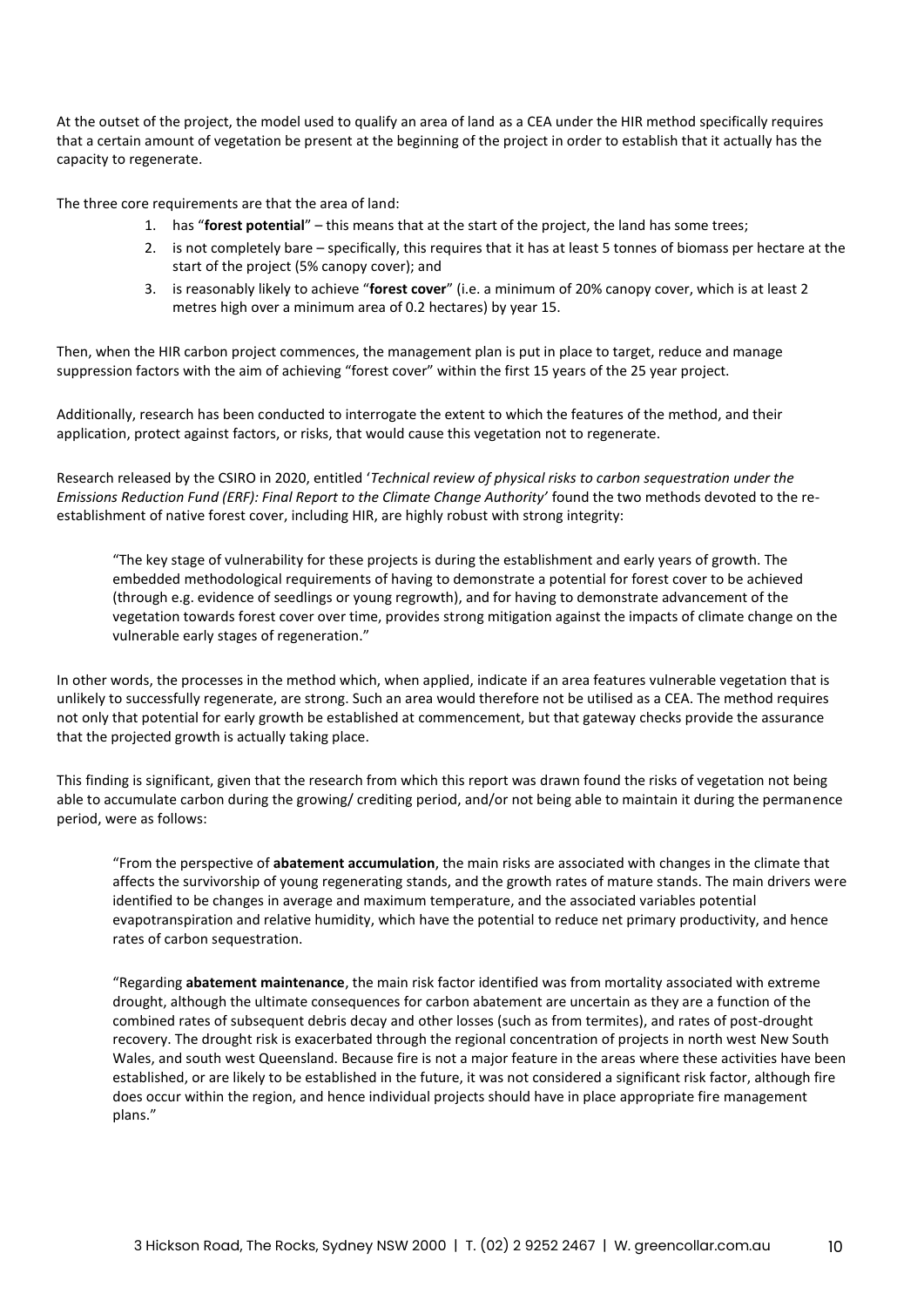At the outset of the project, the model used to qualify an area of land as a CEA under the HIR method specifically requires that a certain amount of vegetation be present at the beginning of the project in order to establish that it actually has the capacity to regenerate.

The three core requirements are that the area of land:

- 1. has "**forest potential**" this means that at the start of the project, the land has some trees;
- 2. is not completely bare specifically, this requires that it has at least 5 tonnes of biomass per hectare at the start of the project (5% canopy cover); and
- 3. is reasonably likely to achieve "**forest cover**" (i.e. a minimum of 20% canopy cover, which is at least 2 metres high over a minimum area of 0.2 hectares) by year 15.

Then, when the HIR carbon project commences, the management plan is put in place to target, reduce and manage suppression factors with the aim of achieving "forest cover" within the first 15 years of the 25 year project.

Additionally, research has been conducted to interrogate the extent to which the features of the method, and their application, protect against factors, or risks, that would cause this vegetation not to regenerate.

Research released by the CSIRO in 2020, entitled '*Technical review of physical risks to carbon sequestration under the Emissions Reduction Fund (ERF): Final Report to the Climate Change Authority'* found the two methods devoted to the reestablishment of native forest cover, including HIR, are highly robust with strong integrity:

"The key stage of vulnerability for these projects is during the establishment and early years of growth. The embedded methodological requirements of having to demonstrate a potential for forest cover to be achieved (through e.g. evidence of seedlings or young regrowth), and for having to demonstrate advancement of the vegetation towards forest cover over time, provides strong mitigation against the impacts of climate change on the vulnerable early stages of regeneration."

In other words, the processes in the method which, when applied, indicate if an area features vulnerable vegetation that is unlikely to successfully regenerate, are strong. Such an area would therefore not be utilised as a CEA. The method requires not only that potential for early growth be established at commencement, but that gateway checks provide the assurance that the projected growth is actually taking place.

This finding is significant, given that the research from which this report was drawn found the risks of vegetation not being able to accumulate carbon during the growing/ crediting period, and/or not being able to maintain it during the permanence period, were as follows:

"From the perspective of **abatement accumulation**, the main risks are associated with changes in the climate that affects the survivorship of young regenerating stands, and the growth rates of mature stands. The main drivers were identified to be changes in average and maximum temperature, and the associated variables potential evapotranspiration and relative humidity, which have the potential to reduce net primary productivity, and hence rates of carbon sequestration.

"Regarding **abatement maintenance**, the main risk factor identified was from mortality associated with extreme drought, although the ultimate consequences for carbon abatement are uncertain as they are a function of the combined rates of subsequent debris decay and other losses (such as from termites), and rates of post-drought recovery. The drought risk is exacerbated through the regional concentration of projects in north west New South Wales, and south west Queensland. Because fire is not a major feature in the areas where these activities have been established, or are likely to be established in the future, it was not considered a significant risk factor, although fire does occur within the region, and hence individual projects should have in place appropriate fire management plans."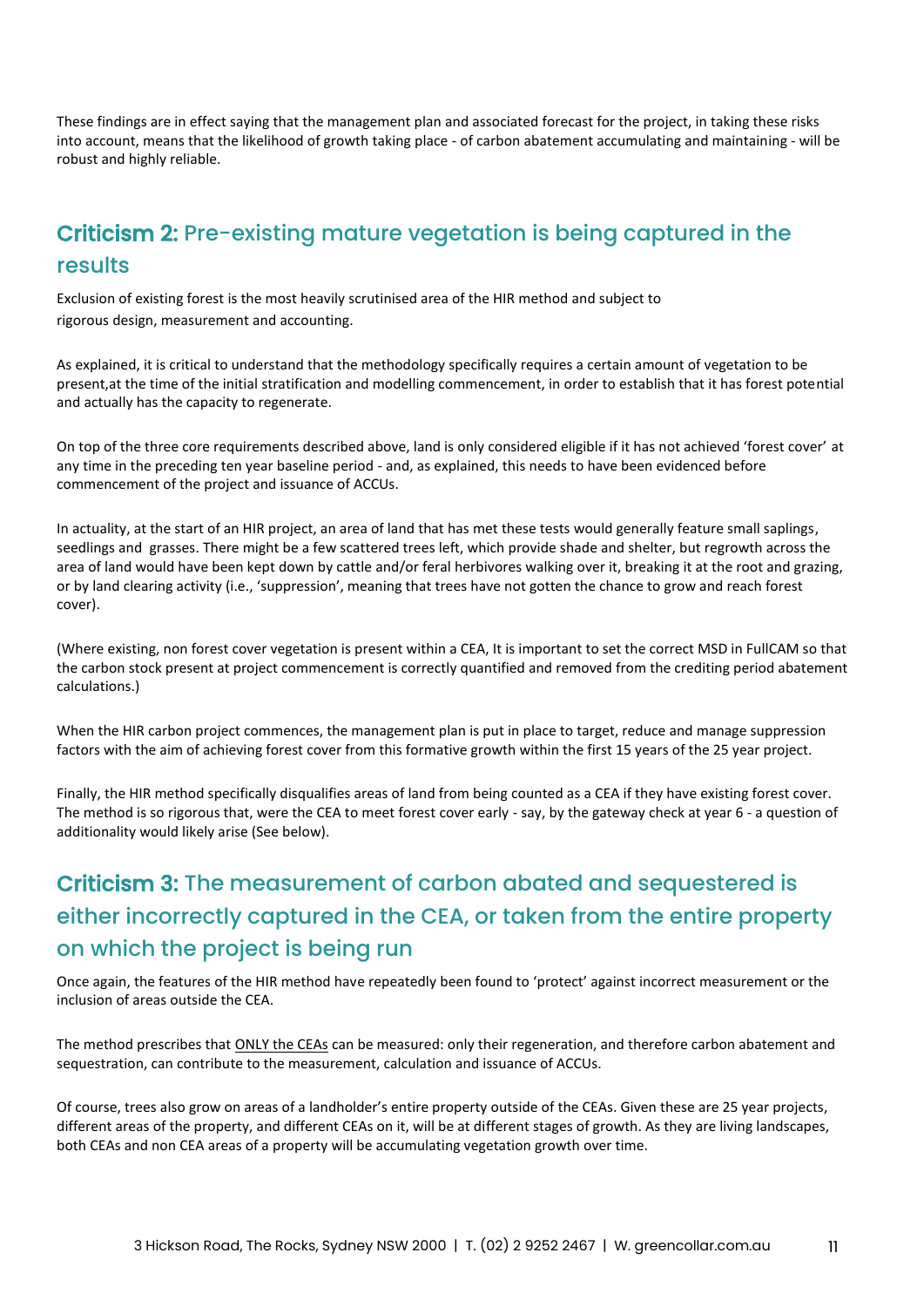These findings are in effect saying that the management plan and associated forecast for the project, in taking these risks into account, means that the likelihood of growth taking place - of carbon abatement accumulating and maintaining - will be robust and highly reliable.

## <span id="page-10-0"></span>Criticism 2: Pre-existing mature vegetation is being captured in the results

Exclusion of existing forest is the most heavily scrutinised area of the HIR method and subject to rigorous design, measurement and accounting.

As explained, it is critical to understand that the methodology specifically requires a certain amount of vegetation to be present,at the time of the initial stratification and modelling commencement, in order to establish that it has forest potential and actually has the capacity to regenerate.

On top of the three core requirements described above, land is only considered eligible if it has not achieved 'forest cover' at any time in the preceding ten year baseline period - and, as explained, this needs to have been evidenced before commencement of the project and issuance of ACCUs.

In actuality, at the start of an HIR project, an area of land that has met these tests would generally feature small saplings, seedlings and grasses. There might be a few scattered trees left, which provide shade and shelter, but regrowth across the area of land would have been kept down by cattle and/or feral herbivores walking over it, breaking it at the root and grazing, or by land clearing activity (i.e., 'suppression', meaning that trees have not gotten the chance to grow and reach forest cover).

(Where existing, non forest cover vegetation is present within a CEA, It is important to set the correct MSD in FullCAM so that the carbon stock present at project commencement is correctly quantified and removed from the crediting period abatement calculations.)

When the HIR carbon project commences, the management plan is put in place to target, reduce and manage suppression factors with the aim of achieving forest cover from this formative growth within the first 15 years of the 25 year project.

Finally, the HIR method specifically disqualifies areas of land from being counted as a CEA if they have existing forest cover. The method is so rigorous that, were the CEA to meet forest cover early - say, by the gateway check at year 6 - a question of additionality would likely arise (See below).

#### <span id="page-10-1"></span>Criticism 3: The measurement of carbon abated and sequestered is either incorrectly captured in the CEA, or taken from the entire property on which the project is being run

Once again, the features of the HIR method have repeatedly been found to 'protect' against incorrect measurement or the inclusion of areas outside the CEA.

The method prescribes that ONLY the CEAs can be measured: only their regeneration, and therefore carbon abatement and sequestration, can contribute to the measurement, calculation and issuance of ACCUs.

Of course, trees also grow on areas of a landholder's entire property outside of the CEAs. Given these are 25 year projects, different areas of the property, and different CEAs on it, will be at different stages of growth. As they are living landscapes, both CEAs and non CEA areas of a property will be accumulating vegetation growth over time.